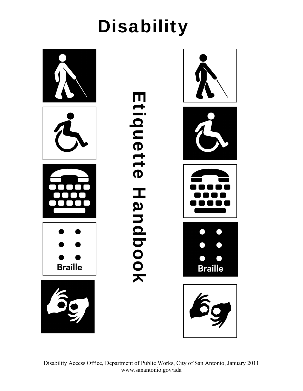

Disability Access Office, Department of Public Works, City of San Antonio, January 2011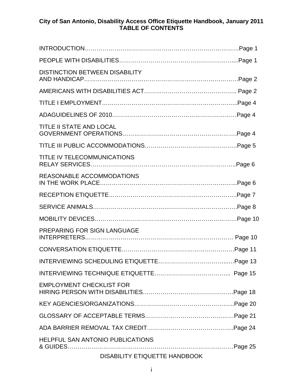#### **City of San Antonio, Disability Access Office Etiquette Handbook, January 2011 TABLE OF CONTENTS**

| <b>DISTINCTION BETWEEN DISABILITY</b> |  |  |
|---------------------------------------|--|--|
|                                       |  |  |
|                                       |  |  |
|                                       |  |  |
| TITLE II STATE AND LOCAL              |  |  |
|                                       |  |  |
| TITLE IV TELECOMMUNICATIONS           |  |  |
| REASONABLE ACCOMMODATIONS             |  |  |
|                                       |  |  |
|                                       |  |  |
|                                       |  |  |
| PREPARING FOR SIGN LANGUAGE           |  |  |
|                                       |  |  |
|                                       |  |  |
|                                       |  |  |
| <b>EMPLOYMENT CHECKLIST FOR</b>       |  |  |
|                                       |  |  |
|                                       |  |  |
|                                       |  |  |
| HELPFUL SAN ANTONIO PUBLICATIONS      |  |  |
| DISABILITY ETIQUETTE HANDBOOK         |  |  |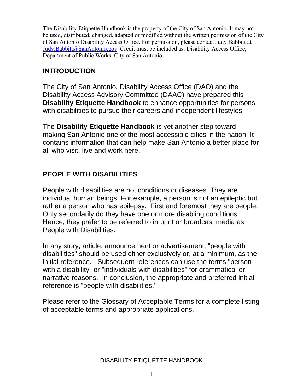The Disability Etiquette Handbook is the property of the City of San Antonio. It may not be used, distributed, changed, adapted or modified without the written permission of the City of San Antonio Disability Access Office. For permission, please contact Judy Babbitt at Judy.Babbitt@SanAntonio.gov. Credit must be included as: Disability Access Office, Department of Public Works, City of San Antonio.

# **INTRODUCTION**

The City of San Antonio, Disability Access Office (DAO) and the Disability Access Advisory Committee (DAAC) have prepared this **Disability Etiquette Handbook** to enhance opportunities for persons with disabilities to pursue their careers and independent lifestyles.

The **Disability Etiquette Handbook** is yet another step toward making San Antonio one of the most accessible cities in the nation. It contains information that can help make San Antonio a better place for all who visit, live and work here.

# **PEOPLE WITH DISABILITIES**

People with disabilities are not conditions or diseases. They are individual human beings. For example, a person is not an epileptic but rather a person who has epilepsy. First and foremost they are people. Only secondarily do they have one or more disabling conditions. Hence, they prefer to be referred to in print or broadcast media as People with Disabilities.

In any story, article, announcement or advertisement, "people with disabilities" should be used either exclusively or, at a minimum, as the initial reference. Subsequent references can use the terms "person with a disability" or "individuals with disabilities" for grammatical or narrative reasons. In conclusion, the appropriate and preferred initial reference is "people with disabilities."

Please refer to the Glossary of Acceptable Terms for a complete listing of acceptable terms and appropriate applications.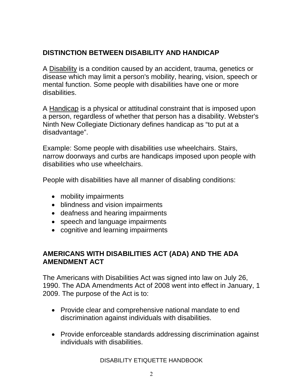# **DISTINCTION BETWEEN DISABILITY AND HANDICAP**

A Disability is a condition caused by an accident, trauma, genetics or disease which may limit a person's mobility, hearing, vision, speech or mental function. Some people with disabilities have one or more disabilities.

A Handicap is a physical or attitudinal constraint that is imposed upon a person, regardless of whether that person has a disability. Webster's Ninth New Collegiate Dictionary defines handicap as "to put at a disadvantage".

Example: Some people with disabilities use wheelchairs. Stairs, narrow doorways and curbs are handicaps imposed upon people with disabilities who use wheelchairs.

People with disabilities have all manner of disabling conditions:

- mobility impairments
- blindness and vision impairments
- deafness and hearing impairments
- speech and language impairments
- cognitive and learning impairments

## **AMERICANS WITH DISABILITIES ACT (ADA) AND THE ADA AMENDMENT ACT**

The Americans with Disabilities Act was signed into law on July 26, 1990. The ADA Amendments Act of 2008 went into effect in January, 1 2009. The purpose of the Act is to:

- Provide clear and comprehensive national mandate to end discrimination against individuals with disabilities.
- Provide enforceable standards addressing discrimination against individuals with disabilities.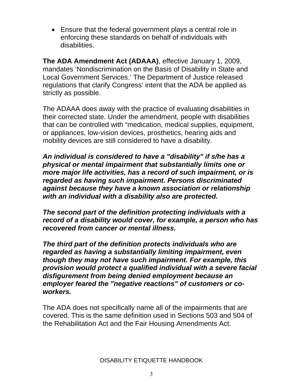• Ensure that the federal government plays a central role in enforcing these standards on behalf of individuals with disabilities.

**The ADA Amendment Act (ADAAA)**, effective January 1, 2009, mandates 'Nondiscrimination on the Basis of Disability in State and Local Government Services.' The Department of Justice released regulations that clarify Congress' intent that the ADA be applied as strictly as possible.

The ADAAA does away with the practice of evaluating disabilities in their corrected state. Under the amendment, people with disabilities that can be controlled with "medication, medical supplies, equipment, or appliances, low-vision devices, prosthetics, hearing aids and mobility devices are still considered to have a disability.

*An individual is considered to have a "disability" if s/he has a physical or mental impairment that substantially limits one or more major life activities, has a record of such impairment, or is regarded as having such impairment. Persons discriminated against because they have a known association or relationship with an individual with a disability also are protected.* 

*The second part of the definition protecting individuals with a record of a disability would cover, for example, a person who has recovered from cancer or mental illness.* 

*The third part of the definition protects individuals who are regarded as having a substantially limiting impairment, even though they may not have such impairment. For example, this provision would protect a qualified individual with a severe facial disfigurement from being denied employment because an employer feared the "negative reactions" of customers or coworkers.*

The ADA does not specifically name all of the impairments that are covered. This is the same definition used in Sections 503 and 504 of the Rehabilitation Act and the Fair Housing Amendments Act.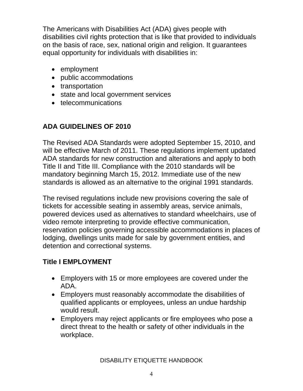The Americans with Disabilities Act (ADA) gives people with disabilities civil rights protection that is like that provided to individuals on the basis of race, sex, national origin and religion. It guarantees equal opportunity for individuals with disabilities in:

- employment
- public accommodations
- transportation
- state and local government services
- telecommunications

# **ADA GUIDELINES OF 2010**

The Revised ADA Standards were adopted September 15, 2010, and will be effective March of 2011. These regulations implement updated ADA standards for new construction and alterations and apply to both Title II and Title III. Compliance with the 2010 standards will be mandatory beginning March 15, 2012. Immediate use of the new standards is allowed as an alternative to the original 1991 standards.

The revised regulations include new provisions covering the sale of tickets for accessible seating in assembly areas, service animals, powered devices used as alternatives to standard wheelchairs, use of video remote interpreting to provide effective communication, reservation policies governing accessible accommodations in places of lodging, dwellings units made for sale by government entities, and detention and correctional systems.

# **Title I EMPLOYMENT**

- Employers with 15 or more employees are covered under the ADA.
- Employers must reasonably accommodate the disabilities of qualified applicants or employees, unless an undue hardship would result.
- Employers may reject applicants or fire employees who pose a direct threat to the health or safety of other individuals in the workplace.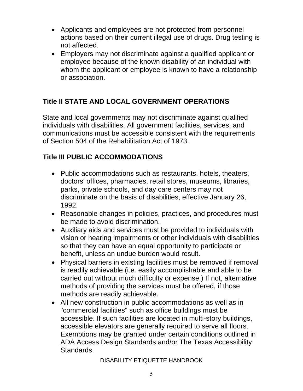- Applicants and employees are not protected from personnel actions based on their current illegal use of drugs. Drug testing is not affected.
- Employers may not discriminate against a qualified applicant or employee because of the known disability of an individual with whom the applicant or employee is known to have a relationship or association.

# **Title II STATE AND LOCAL GOVERNMENT OPERATIONS**

State and local governments may not discriminate against qualified individuals with disabilities. All government facilities, services, and communications must be accessible consistent with the requirements of Section 504 of the Rehabilitation Act of 1973.

## **Title III PUBLIC ACCOMMODATIONS**

- Public accommodations such as restaurants, hotels, theaters, doctors' offices, pharmacies, retail stores, museums, libraries, parks, private schools, and day care centers may not discriminate on the basis of disabilities, effective January 26, 1992.
- Reasonable changes in policies, practices, and procedures must be made to avoid discrimination.
- Auxiliary aids and services must be provided to individuals with vision or hearing impairments or other individuals with disabilities so that they can have an equal opportunity to participate or benefit, unless an undue burden would result.
- Physical barriers in existing facilities must be removed if removal is readily achievable (i.e. easily accomplishable and able to be carried out without much difficulty or expense.) If not, alternative methods of providing the services must be offered, if those methods are readily achievable.
- All new construction in public accommodations as well as in "commercial facilities" such as office buildings must be accessible. If such facilities are located in multi-story buildings, accessible elevators are generally required to serve all floors. Exemptions may be granted under certain conditions outlined in ADA Access Design Standards and/or The Texas Accessibility Standards.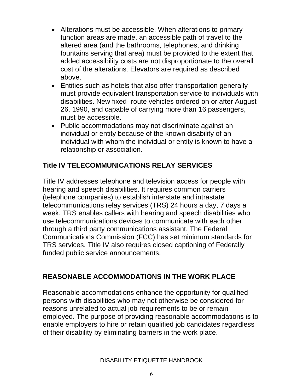- Alterations must be accessible. When alterations to primary function areas are made, an accessible path of travel to the altered area (and the bathrooms, telephones, and drinking fountains serving that area) must be provided to the extent that added accessibility costs are not disproportionate to the overall cost of the alterations. Elevators are required as described above.
- Entities such as hotels that also offer transportation generally must provide equivalent transportation service to individuals with disabilities. New fixed- route vehicles ordered on or after August 26, 1990, and capable of carrying more than 16 passengers, must be accessible.
- Public accommodations may not discriminate against an individual or entity because of the known disability of an individual with whom the individual or entity is known to have a relationship or association.

## **Title IV TELECOMMUNICATIONS RELAY SERVICES**

Title IV addresses telephone and television access for people with hearing and speech disabilities. It requires common carriers (telephone companies) to establish interstate and intrastate telecommunications relay services (TRS) 24 hours a day, 7 days a week. TRS enables callers with hearing and speech disabilities who use telecommunications devices to communicate with each other through a third party communications assistant. The Federal Communications Commission (FCC) has set minimum standards for TRS services. Title IV also requires closed captioning of Federally funded public service announcements.

## **REASONABLE ACCOMMODATIONS IN THE WORK PLACE**

Reasonable accommodations enhance the opportunity for qualified persons with disabilities who may not otherwise be considered for reasons unrelated to actual job requirements to be or remain employed. The purpose of providing reasonable accommodations is to enable employers to hire or retain qualified job candidates regardless of their disability by eliminating barriers in the work place.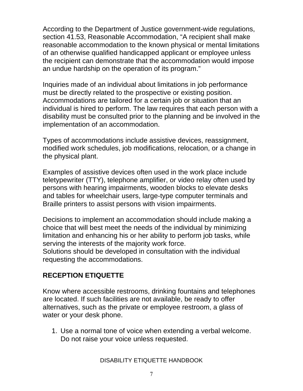According to the Department of Justice government-wide regulations, section 41.53, Reasonable Accommodation, "A recipient shall make reasonable accommodation to the known physical or mental limitations of an otherwise qualified handicapped applicant or employee unless the recipient can demonstrate that the accommodation would impose an undue hardship on the operation of its program."

Inquiries made of an individual about limitations in job performance must be directly related to the prospective or existing position. Accommodations are tailored for a certain job or situation that an individual is hired to perform. The law requires that each person with a disability must be consulted prior to the planning and be involved in the implementation of an accommodation.

Types of accommodations include assistive devices, reassignment, modified work schedules, job modifications, relocation, or a change in the physical plant.

Examples of assistive devices often used in the work place include teletypewriter (TTY), telephone amplifier, or video relay often used by persons with hearing impairments, wooden blocks to elevate desks and tables for wheelchair users, large-type computer terminals and Braille printers to assist persons with vision impairments.

Decisions to implement an accommodation should include making a choice that will best meet the needs of the individual by minimizing limitation and enhancing his or her ability to perform job tasks, while serving the interests of the majority work force.

Solutions should be developed in consultation with the individual requesting the accommodations.

# **RECEPTION ETIQUETTE**

Know where accessible restrooms, drinking fountains and telephones are located. If such facilities are not available, be ready to offer alternatives, such as the private or employee restroom, a glass of water or your desk phone.

1. Use a normal tone of voice when extending a verbal welcome. Do not raise your voice unless requested.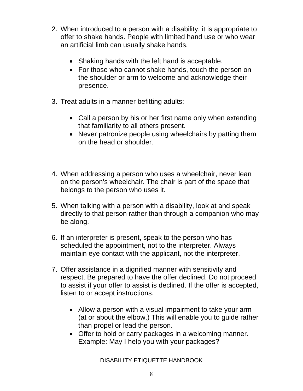- 2. When introduced to a person with a disability, it is appropriate to offer to shake hands. People with limited hand use or who wear an artificial limb can usually shake hands.
	- Shaking hands with the left hand is acceptable.
	- For those who cannot shake hands, touch the person on the shoulder or arm to welcome and acknowledge their presence.
- 3. Treat adults in a manner befitting adults:
	- Call a person by his or her first name only when extending that familiarity to all others present.
	- Never patronize people using wheelchairs by patting them on the head or shoulder.
- 4. When addressing a person who uses a wheelchair, never lean on the person's wheelchair. The chair is part of the space that belongs to the person who uses it.
- 5. When talking with a person with a disability, look at and speak directly to that person rather than through a companion who may be along.
- 6. If an interpreter is present, speak to the person who has scheduled the appointment, not to the interpreter. Always maintain eye contact with the applicant, not the interpreter.
- 7. Offer assistance in a dignified manner with sensitivity and respect. Be prepared to have the offer declined. Do not proceed to assist if your offer to assist is declined. If the offer is accepted, listen to or accept instructions.
	- Allow a person with a visual impairment to take your arm (at or about the elbow.) This will enable you to guide rather than propel or lead the person.
	- Offer to hold or carry packages in a welcoming manner. Example: May I help you with your packages?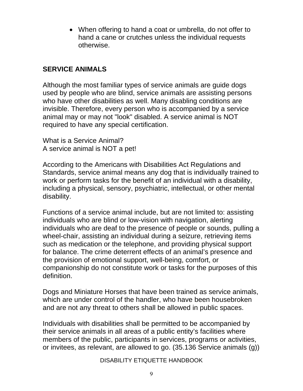• When offering to hand a coat or umbrella, do not offer to hand a cane or crutches unless the individual requests otherwise.

#### **SERVICE ANIMALS**

Although the most familiar types of service animals are guide dogs used by people who are blind, service animals are assisting persons who have other disabilities as well. Many disabling conditions are invisible. Therefore, every person who is accompanied by a service animal may or may not "look" disabled. A service animal is NOT required to have any special certification.

What is a Service Animal? A service animal is NOT a pet!

According to the Americans with Disabilities Act Regulations and Standards, service animal means any dog that is individually trained to work or perform tasks for the benefit of an individual with a disability, including a physical, sensory, psychiatric, intellectual, or other mental disability.

Functions of a service animal include, but are not limited to: assisting individuals who are blind or low-vision with navigation, alerting individuals who are deaf to the presence of people or sounds, pulling a wheel-chair, assisting an individual during a seizure, retrieving items such as medication or the telephone, and providing physical support for balance. The crime deterrent effects of an animal's presence and the provision of emotional support, well-being, comfort, or companionship do not constitute work or tasks for the purposes of this definition.

Dogs and Miniature Horses that have been trained as service animals, which are under control of the handler, who have been housebroken and are not any threat to others shall be allowed in public spaces.

Individuals with disabilities shall be permitted to be accompanied by their service animals in all areas of a public entity's facilities where members of the public, participants in services, programs or activities, or invitees, as relevant, are allowed to go. (35.136 Service animals (g))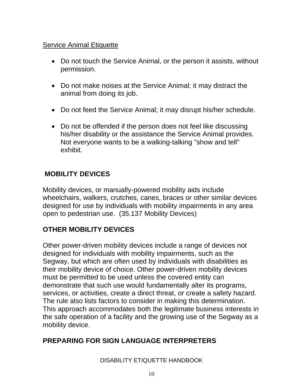#### **Service Animal Etiquette**

- Do not touch the Service Animal, or the person it assists, without permission.
- Do not make noises at the Service Animal; it may distract the animal from doing its job.
- Do not feed the Service Animal; it may disrupt his/her schedule.
- Do not be offended if the person does not feel like discussing his/her disability or the assistance the Service Animal provides. Not everyone wants to be a walking-talking "show and tell" exhibit.

# **MOBILITY DEVICES**

Mobility devices, or manually-powered mobility aids include wheelchairs, walkers, crutches, canes, braces or other similar devices designed for use by individuals with mobility impairments in any area open to pedestrian use. (35.137 Mobility Devices)

# **OTHER MOBILITY DEVICES**

Other power-driven mobility devices include a range of devices not designed for individuals with mobility impairments, such as the Segway, but which are often used by individuals with disabilities as their mobility device of choice. Other power-driven mobility devices must be permitted to be used unless the covered entity can demonstrate that such use would fundamentally alter its programs, services, or activities, create a direct threat, or create a safety hazard. The rule also lists factors to consider in making this determination. This approach accommodates both the legitimate business interests in the safe operation of a facility and the growing use of the Segway as a mobility device.

## **PREPARING FOR SIGN LANGUAGE INTERPRETERS**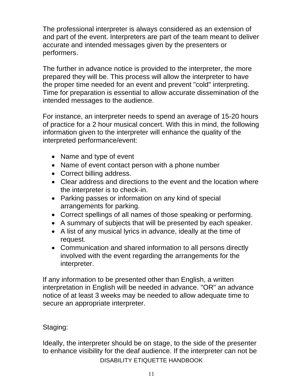The professional interpreter is always considered as an extension of and part of the event. Interpreters are part of the team meant to deliver accurate and intended messages given by the presenters or performers.

The further in advance notice is provided to the interpreter, the more prepared they will be. This process will allow the interpreter to have the proper time needed for an event and prevent "cold" interpreting. Time for preparation is essential to allow accurate dissemination of the intended messages to the audience.

For instance, an interpreter needs to spend an average of 15-20 hours of practice for a 2 hour musical concert. With this in mind, the following information given to the interpreter will enhance the quality of the interpreted performance/event:

- Name and type of event
- Name of event contact person with a phone number
- Correct billing address.
- Clear address and directions to the event and the location where the interpreter is to check-in.
- Parking passes or information on any kind of special arrangements for parking.
- Correct spellings of all names of those speaking or performing.
- A summary of subjects that will be presented by each speaker.
- A list of any musical lyrics in advance, ideally at the time of request.
- Communication and shared information to all persons directly involved with the event regarding the arrangements for the interpreter.

If any information to be presented other than English, a written interpretation in English will be needed in advance. "OR" an advance notice of at least 3 weeks may be needed to allow adequate time to secure an appropriate interpreter.

# Staging:

DISABILITY ETIQUETTE HANDBOOK Ideally, the interpreter should be on stage, to the side of the presenter to enhance visibility for the deaf audience. If the interpreter can not be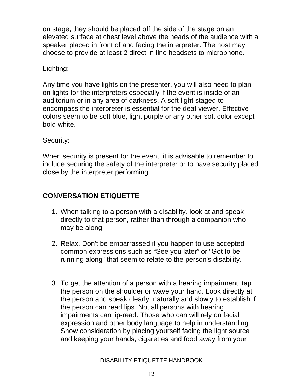on stage, they should be placed off the side of the stage on an elevated surface at chest level above the heads of the audience with a speaker placed in front of and facing the interpreter. The host may choose to provide at least 2 direct in-line headsets to microphone.

### Lighting:

Any time you have lights on the presenter, you will also need to plan on lights for the interpreters especially if the event is inside of an auditorium or in any area of darkness. A soft light staged to encompass the interpreter is essential for the deaf viewer. Effective colors seem to be soft blue, light purple or any other soft color except bold white.

#### Security:

When security is present for the event, it is advisable to remember to include securing the safety of the interpreter or to have security placed close by the interpreter performing.

# **CONVERSATION ETIQUETTE**

- 1. When talking to a person with a disability, look at and speak directly to that person, rather than through a companion who may be along.
- 2. Relax. Don't be embarrassed if you happen to use accepted common expressions such as "See you later" or "Got to be running along" that seem to relate to the person's disability.
- 3. To get the attention of a person with a hearing impairment, tap the person on the shoulder or wave your hand. Look directly at the person and speak clearly, naturally and slowly to establish if the person can read lips. Not all persons with hearing impairments can lip-read. Those who can will rely on facial expression and other body language to help in understanding. Show consideration by placing yourself facing the light source and keeping your hands, cigarettes and food away from your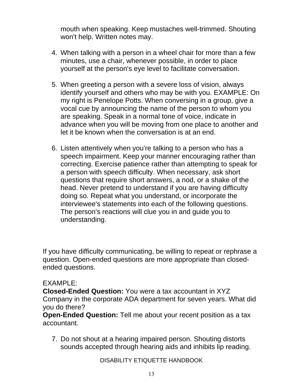mouth when speaking. Keep mustaches well-trimmed. Shouting won't help. Written notes may.

- 4. When talking with a person in a wheel chair for more than a few minutes, use a chair, whenever possible, in order to place yourself at the person's eye level to facilitate conversation.
- 5. When greeting a person with a severe loss of vision, always identify yourself and others who may be with you. EXAMPLE: On my right is Penelope Potts. When conversing in a group, give a vocal cue by announcing the name of the person to whom you are speaking. Speak in a normal tone of voice, indicate in advance when you will be moving from one place to another and let it be known when the conversation is at an end.
- 6. Listen attentively when you're talking to a person who has a speech impairment. Keep your manner encouraging rather than correcting. Exercise patience rather than attempting to speak for a person with speech difficulty. When necessary, ask short questions that require short answers, a nod, or a shake of the head. Never pretend to understand if you are having difficulty doing so. Repeat what you understand, or incorporate the interviewee's statements into each of the following questions. The person's reactions will clue you in and guide you to understanding.

If you have difficulty communicating, be willing to repeat or rephrase a question. Open-ended questions are more appropriate than closedended questions.

## EXAMPLE:

**Closed-Ended Question:** You were a tax accountant in XYZ Company in the corporate ADA department for seven years. What did you do there?

**Open-Ended Question:** Tell me about your recent position as a tax accountant.

7. Do not shout at a hearing impaired person. Shouting distorts sounds accepted through hearing aids and inhibits lip reading.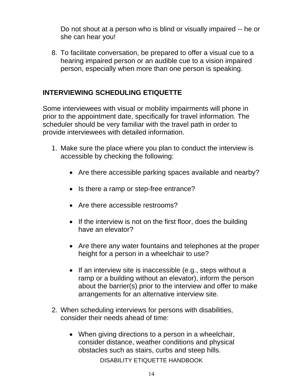Do not shout at a person who is blind or visually impaired -- he or she can hear you!

8. To facilitate conversation, be prepared to offer a visual cue to a hearing impaired person or an audible cue to a vision impaired person, especially when more than one person is speaking.

## **INTERVIEWING SCHEDULING ETIQUETTE**

Some interviewees with visual or mobility impairments will phone in prior to the appointment date, specifically for travel information. The scheduler should be very familiar with the travel path in order to provide interviewees with detailed information.

- 1. Make sure the place where you plan to conduct the interview is accessible by checking the following:
	- Are there accessible parking spaces available and nearby?
	- Is there a ramp or step-free entrance?
	- Are there accessible restrooms?
	- If the interview is not on the first floor, does the building have an elevator?
	- Are there any water fountains and telephones at the proper height for a person in a wheelchair to use?
	- If an interview site is inaccessible (e.g., steps without a ramp or a building without an elevator), inform the person about the barrier(s) prior to the interview and offer to make arrangements for an alternative interview site.
- 2. When scheduling interviews for persons with disabilities, consider their needs ahead of time:
	- When giving directions to a person in a wheelchair, consider distance, weather conditions and physical obstacles such as stairs, curbs and steep hills.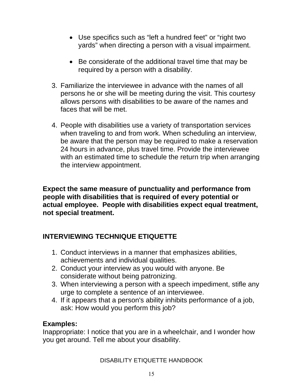- Use specifics such as "left a hundred feet" or "right two yards" when directing a person with a visual impairment.
- Be considerate of the additional travel time that may be required by a person with a disability.
- 3. Familiarize the interviewee in advance with the names of all persons he or she will be meeting during the visit. This courtesy allows persons with disabilities to be aware of the names and faces that will be met.
- 4. People with disabilities use a variety of transportation services when traveling to and from work. When scheduling an interview, be aware that the person may be required to make a reservation 24 hours in advance, plus travel time. Provide the interviewee with an estimated time to schedule the return trip when arranging the interview appointment.

**Expect the same measure of punctuality and performance from people with disabilities that is required of every potential or actual employee. People with disabilities expect equal treatment, not special treatment.**

## **INTERVIEWING TECHNIQUE ETIQUETTE**

- 1. Conduct interviews in a manner that emphasizes abilities, achievements and individual qualities.
- 2. Conduct your interview as you would with anyone. Be considerate without being patronizing.
- 3. When interviewing a person with a speech impediment, stifle any urge to complete a sentence of an interviewee.
- 4. If it appears that a person's ability inhibits performance of a job, ask: How would you perform this job?

## **Examples:**

Inappropriate: I notice that you are in a wheelchair, and I wonder how you get around. Tell me about your disability.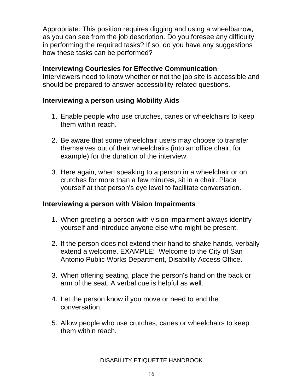Appropriate: This position requires digging and using a wheelbarrow, as you can see from the job description. Do you foresee any difficulty in performing the required tasks? If so, do you have any suggestions how these tasks can be performed?

#### **Interviewing Courtesies for Effective Communication**

Interviewers need to know whether or not the job site is accessible and should be prepared to answer accessibility-related questions.

#### **Interviewing a person using Mobility Aids**

- 1. Enable people who use crutches, canes or wheelchairs to keep them within reach.
- 2. Be aware that some wheelchair users may choose to transfer themselves out of their wheelchairs (into an office chair, for example) for the duration of the interview.
- 3. Here again, when speaking to a person in a wheelchair or on crutches for more than a few minutes, sit in a chair. Place yourself at that person's eye level to facilitate conversation.

#### **Interviewing a person with Vision Impairments**

- 1. When greeting a person with vision impairment always identify yourself and introduce anyone else who might be present.
- 2. If the person does not extend their hand to shake hands, verbally extend a welcome. EXAMPLE: Welcome to the City of San Antonio Public Works Department, Disability Access Office.
- 3. When offering seating, place the person's hand on the back or arm of the seat. A verbal cue is helpful as well.
- 4. Let the person know if you move or need to end the conversation.
- 5. Allow people who use crutches, canes or wheelchairs to keep them within reach.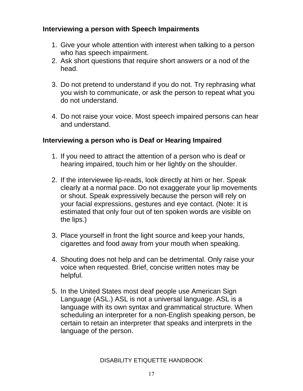## **Interviewing a person with Speech Impairments**

- 1. Give your whole attention with interest when talking to a person who has speech impairment.
- 2. Ask short questions that require short answers or a nod of the head.
- 3. Do not pretend to understand if you do not. Try rephrasing what you wish to communicate, or ask the person to repeat what you do not understand.
- 4. Do not raise your voice. Most speech impaired persons can hear and understand.

## **Interviewing a person who is Deaf or Hearing Impaired**

- 1. If you need to attract the attention of a person who is deaf or hearing impaired, touch him or her lightly on the shoulder.
- 2. If the interviewee lip-reads, look directly at him or her. Speak clearly at a normal pace. Do not exaggerate your lip movements or shout. Speak expressively because the person will rely on your facial expressions, gestures and eye contact. (Note: It is estimated that only four out of ten spoken words are visible on the lips.)
- 3. Place yourself in front the light source and keep your hands, cigarettes and food away from your mouth when speaking.
- 4. Shouting does not help and can be detrimental. Only raise your voice when requested. Brief, concise written notes may be helpful.
- 5. In the United States most deaf people use American Sign Language (ASL.) ASL is not a universal language. ASL is a language with its own syntax and grammatical structure. When scheduling an interpreter for a non-English speaking person, be certain to retain an interpreter that speaks and interprets in the language of the person.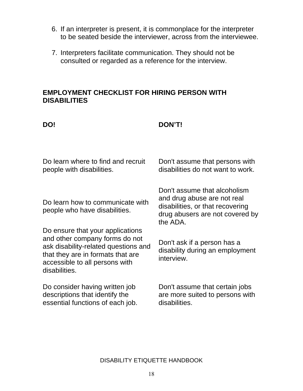- 6. If an interpreter is present, it is commonplace for the interpreter to be seated beside the interviewer, across from the interviewee.
- 7. Interpreters facilitate communication. They should not be consulted or regarded as a reference for the interview.

#### **EMPLOYMENT CHECKLIST FOR HIRING PERSON WITH DISABILITIES**

#### **DO! DON'T!**

| Do learn where to find and recruit                                                                                                                                                                 | Don't assume that persons with                                                                                                                 |
|----------------------------------------------------------------------------------------------------------------------------------------------------------------------------------------------------|------------------------------------------------------------------------------------------------------------------------------------------------|
| people with disabilities.                                                                                                                                                                          | disabilities do not want to work.                                                                                                              |
| Do learn how to communicate with<br>people who have disabilities.                                                                                                                                  | Don't assume that alcoholism<br>and drug abuse are not real<br>disabilities, or that recovering<br>drug abusers are not covered by<br>the ADA. |
| Do ensure that your applications<br>and other company forms do not<br>ask disability-related questions and<br>that they are in formats that are<br>accessible to all persons with<br>disabilities. | Don't ask if a person has a<br>disability during an employment<br>interview.                                                                   |
| Do consider having written job                                                                                                                                                                     | Don't assume that certain jobs                                                                                                                 |
| descriptions that identify the                                                                                                                                                                     | are more suited to persons with                                                                                                                |
| essential functions of each job.                                                                                                                                                                   | disabilities.                                                                                                                                  |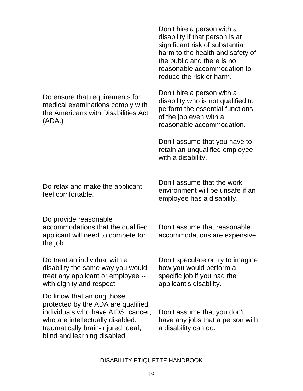Do ensure that requirements for medical examinations comply with the Americans with Disabilities Act (ADA.)

Don't hire a person with a disability if that person is at significant risk of substantial harm to the health and safety of the public and there is no reasonable accommodation to reduce the risk or harm.

Don't hire a person with a disability who is not qualified to perform the essential functions of the job even with a reasonable accommodation.

Don't assume that you have to retain an unqualified employee with a disability.

Do relax and make the applicant feel comfortable.

Do provide reasonable accommodations that the qualified applicant will need to compete for the job.

Do treat an individual with a disability the same way you would treat any applicant or employee - with dignity and respect.

Do know that among those protected by the ADA are qualified individuals who have AIDS, cancer, who are intellectually disabled, traumatically brain-injured, deaf, blind and learning disabled.

Don't assume that the work environment will be unsafe if an employee has a disability.

Don't assume that reasonable accommodations are expensive.

Don't speculate or try to imagine how you would perform a specific job if you had the applicant's disability.

Don't assume that you don't have any jobs that a person with a disability can do.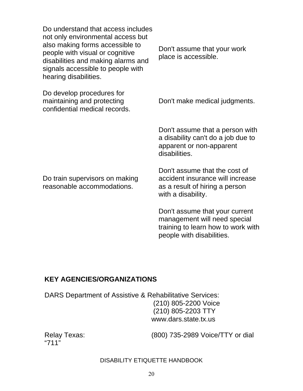Do understand that access includes not only environmental access but also making forms accessible to people with visual or cognitive disabilities and making alarms and signals accessible to people with hearing disabilities.

Do develop procedures for maintaining and protecting confidential medical records. Don't assume that your work place is accessible.

Don't make medical judgments.

Don't assume that a person with a disability can't do a job due to apparent or non-apparent disabilities.

Do train supervisors on making reasonable accommodations.

Don't assume that the cost of accident insurance will increase as a result of hiring a person with a disability.

Don't assume that your current management will need special training to learn how to work with people with disabilities.

#### **KEY AGENCIES/ORGANIZATIONS**

DARS Department of Assistive & Rehabilitative Services: (210) 805-2200 Voice (210) 805-2203 TTY www.dars.state.tx.us

"711"

Relay Texas: (800) 735-2989 Voice/TTY or dial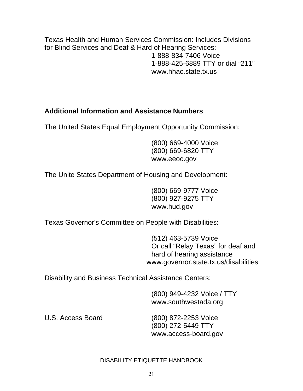Texas Health and Human Services Commission: Includes Divisions for Blind Services and Deaf & Hard of Hearing Services: 1-888-834-7406 Voice 1-888-425-6889 TTY or dial "211" www.hhac.state.tx.us

## **Additional Information and Assistance Numbers**

The United States Equal Employment Opportunity Commission:

(800) 669-4000 Voice (800) 669-6820 TTY www.eeoc.gov

The Unite States Department of Housing and Development:

(800) 669-9777 Voice (800) 927-9275 TTY www.hud.gov

Texas Governor's Committee on People with Disabilities:

(512) 463-5739 Voice Or call "Relay Texas" for deaf and hard of hearing assistance www.governor.state.tx.us/disabilities

Disability and Business Technical Assistance Centers:

(800) 949-4232 Voice / TTY www.southwestada.org

U.S. Access Board (800) 872-2253 Voice (800) 272-5449 TTY www.access-board.gov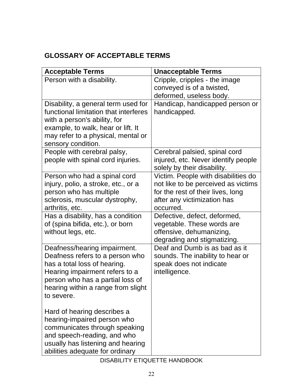# **GLOSSARY OF ACCEPTABLE TERMS**

| <b>Acceptable Terms</b>                                            | <b>Unacceptable Terms</b>                                  |
|--------------------------------------------------------------------|------------------------------------------------------------|
| Person with a disability.                                          | Cripple, cripples - the image                              |
|                                                                    | conveyed is of a twisted,                                  |
|                                                                    | deformed, useless body.                                    |
| Disability, a general term used for                                | Handicap, handicapped person or                            |
| functional limitation that interferes                              | handicapped.                                               |
| with a person's ability, for<br>example, to walk, hear or lift. It |                                                            |
| may refer to a physical, mental or                                 |                                                            |
| sensory condition.                                                 |                                                            |
| People with cerebral palsy,                                        | Cerebral palsied, spinal cord                              |
| people with spinal cord injuries.                                  | injured, etc. Never identify people                        |
|                                                                    | solely by their disability.                                |
| Person who had a spinal cord                                       | Victim. People with disabilities do                        |
| injury, polio, a stroke, etc., or a                                | not like to be perceived as victims                        |
| person who has multiple                                            | for the rest of their lives, long                          |
| sclerosis, muscular dystrophy,                                     | after any victimization has                                |
| arthritis, etc.<br>Has a disability, has a condition               | occurred.                                                  |
| of (spina bifida, etc.), or born                                   | Defective, defect, deformed,<br>vegetable. These words are |
| without legs, etc.                                                 | offensive, dehumanizing,                                   |
|                                                                    | degrading and stigmatizing.                                |
| Deafness/hearing impairment.                                       | Deaf and Dumb is as bad as it                              |
| Deafness refers to a person who                                    | sounds. The inability to hear or                           |
| has a total loss of hearing.                                       | speak does not indicate                                    |
| Hearing impairment refers to a                                     | intelligence.                                              |
| person who has a partial loss of                                   |                                                            |
| hearing within a range from slight                                 |                                                            |
| to severe.                                                         |                                                            |
| Hard of hearing describes a                                        |                                                            |
| hearing-impaired person who                                        |                                                            |
| communicates through speaking                                      |                                                            |
| and speech-reading, and who                                        |                                                            |
| usually has listening and hearing                                  |                                                            |
| abilities adequate for ordinary                                    |                                                            |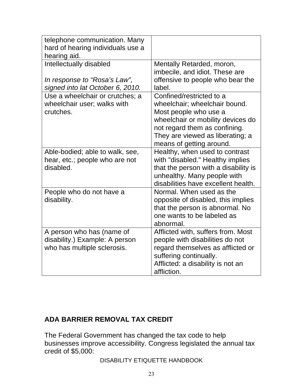| telephone communication. Many<br>hard of hearing individuals use a<br>hearing aid.          |                                                                                                                                                                                                                          |
|---------------------------------------------------------------------------------------------|--------------------------------------------------------------------------------------------------------------------------------------------------------------------------------------------------------------------------|
| Intellectually disabled<br>In response to "Rosa's Law",<br>signed into lat October 6, 2010. | Mentally Retarded, moron,<br>imbecile, and idiot. These are<br>offensive to people who bear the<br>label.                                                                                                                |
| Use a wheelchair or crutches; a<br>wheelchair user; walks with<br>crutches.                 | Confined/restricted to a<br>wheelchair; wheelchair bound.<br>Most people who use a<br>wheelchair or mobility devices do<br>not regard them as confining.<br>They are viewed as liberating; a<br>means of getting around. |
| Able-bodied; able to walk, see,<br>hear, etc.; people who are not<br>disabled.              | Healthy, when used to contrast<br>with "disabled." Healthy implies<br>that the person with a disability is<br>unhealthy. Many people with<br>disabilities have excellent health.                                         |
| People who do not have a<br>disability.                                                     | Normal. When used as the<br>opposite of disabled, this implies<br>that the person is abnormal. No<br>one wants to be labeled as<br>abnormal.                                                                             |
| A person who has (name of<br>disability.) Example: A person<br>who has multiple sclerosis.  | Afflicted with, suffers from. Most<br>people with disabilities do not<br>regard themselves as afflicted or<br>suffering continually.<br>Afflicted: a disability is not an<br>affliction.                                 |

## **ADA BARRIER REMOVAL TAX CREDIT**

The Federal Government has changed the tax code to help businesses improve accessibility. Congress legislated the annual tax credit of \$5,000: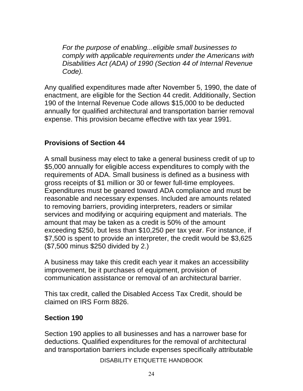*For the purpose of enabling...eligible small businesses to comply with applicable requirements under the Americans with Disabilities Act (ADA) of 1990 (Section 44 of Internal Revenue Code).* 

Any qualified expenditures made after November 5, 1990, the date of enactment, are eligible for the Section 44 credit. Additionally, Section 190 of the Internal Revenue Code allows \$15,000 to be deducted annually for qualified architectural and transportation barrier removal expense. This provision became effective with tax year 1991.

## **Provisions of Section 44**

A small business may elect to take a general business credit of up to \$5,000 annually for eligible access expenditures to comply with the requirements of ADA. Small business is defined as a business with gross receipts of \$1 million or 30 or fewer full-time employees. Expenditures must be geared toward ADA compliance and must be reasonable and necessary expenses. Included are amounts related to removing barriers, providing interpreters, readers or similar services and modifying or acquiring equipment and materials. The amount that may be taken as a credit is 50% of the amount exceeding \$250, but less than \$10,250 per tax year. For instance, if \$7,500 is spent to provide an interpreter, the credit would be \$3,625 (\$7,500 minus \$250 divided by 2.)

A business may take this credit each year it makes an accessibility improvement, be it purchases of equipment, provision of communication assistance or removal of an architectural barrier.

This tax credit, called the Disabled Access Tax Credit, should be claimed on IRS Form 8826.

#### **Section 190**

Section 190 applies to all businesses and has a narrower base for deductions. Qualified expenditures for the removal of architectural and transportation barriers include expenses specifically attributable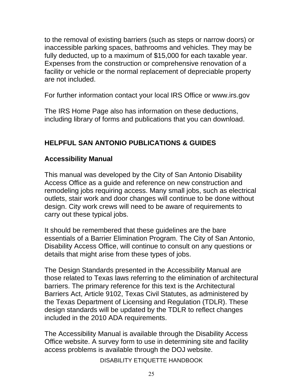to the removal of existing barriers (such as steps or narrow doors) or inaccessible parking spaces, bathrooms and vehicles. They may be fully deducted, up to a maximum of \$15,000 for each taxable year. Expenses from the construction or comprehensive renovation of a facility or vehicle or the normal replacement of depreciable property are not included.

For further information contact your local IRS Office or www.irs.gov

The IRS Home Page also has information on these deductions, including library of forms and publications that you can download.

# **HELPFUL SAN ANTONIO PUBLICATIONS & GUIDES**

## **Accessibility Manual**

This manual was developed by the City of San Antonio Disability Access Office as a guide and reference on new construction and remodeling jobs requiring access. Many small jobs, such as electrical outlets, stair work and door changes will continue to be done without design. City work crews will need to be aware of requirements to carry out these typical jobs.

It should be remembered that these guidelines are the bare essentials of a Barrier Elimination Program. The City of San Antonio, Disability Access Office, will continue to consult on any questions or details that might arise from these types of jobs.

The Design Standards presented in the Accessibility Manual are those related to Texas laws referring to the elimination of architectural barriers. The primary reference for this text is the Architectural Barriers Act, Article 9102, Texas Civil Statutes, as administered by the Texas Department of Licensing and Regulation (TDLR). These design standards will be updated by the TDLR to reflect changes included in the 2010 ADA requirements.

The Accessibility Manual is available through the Disability Access Office website. A survey form to use in determining site and facility access problems is available through the DOJ website.